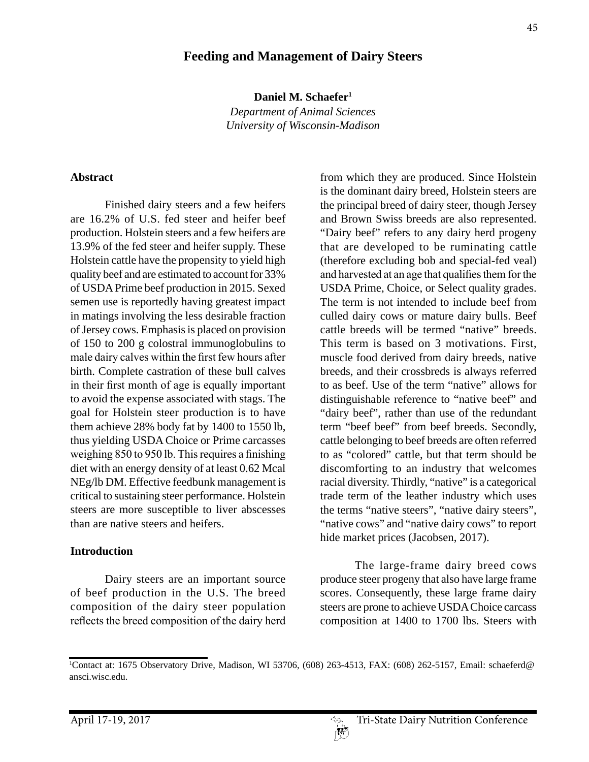# **Feeding and Management of Dairy Steers**

**Daniel M. Schaefer1**

*Department of Animal Sciences University of Wisconsin-Madison*

#### **Abstract**

Finished dairy steers and a few heifers are 16.2% of U.S. fed steer and heifer beef production. Holstein steers and a few heifers are 13.9% of the fed steer and heifer supply. These Holstein cattle have the propensity to yield high quality beef and are estimated to account for 33% of USDA Prime beef production in 2015. Sexed semen use is reportedly having greatest impact in matings involving the less desirable fraction of Jersey cows. Emphasis is placed on provision of 150 to 200 g colostral immunoglobulins to male dairy calves within the first few hours after birth. Complete castration of these bull calves in their first month of age is equally important to avoid the expense associated with stags. The goal for Holstein steer production is to have them achieve 28% body fat by 1400 to 1550 lb, thus yielding USDA Choice or Prime carcasses weighing 850 to 950 lb. This requires a finishing diet with an energy density of at least 0.62 Mcal NEg/lb DM. Effective feedbunk management is critical to sustaining steer performance. Holstein steers are more susceptible to liver abscesses than are native steers and heifers.

#### **Introduction**

Dairy steers are an important source of beef production in the U.S. The breed composition of the dairy steer population reflects the breed composition of the dairy herd

from which they are produced. Since Holstein is the dominant dairy breed, Holstein steers are the principal breed of dairy steer, though Jersey and Brown Swiss breeds are also represented. "Dairy beef" refers to any dairy herd progeny that are developed to be ruminating cattle (therefore excluding bob and special-fed veal) and harvested at an age that qualifies them for the USDA Prime, Choice, or Select quality grades. The term is not intended to include beef from culled dairy cows or mature dairy bulls. Beef cattle breeds will be termed "native" breeds. This term is based on 3 motivations. First, muscle food derived from dairy breeds, native breeds, and their crossbreds is always referred to as beef. Use of the term "native" allows for distinguishable reference to "native beef" and "dairy beef", rather than use of the redundant term "beef beef" from beef breeds. Secondly, cattle belonging to beef breeds are often referred to as "colored" cattle, but that term should be discomforting to an industry that welcomes racial diversity. Thirdly, "native" is a categorical trade term of the leather industry which uses the terms "native steers", "native dairy steers", "native cows" and "native dairy cows" to report hide market prices (Jacobsen, 2017).

The large-frame dairy breed cows produce steer progeny that also have large frame scores. Consequently, these large frame dairy steers are prone to achieve USDA Choice carcass composition at 1400 to 1700 lbs. Steers with

<sup>1</sup> Contact at: 1675 Observatory Drive, Madison, WI 53706, (608) 263-4513, FAX: (608) 262-5157, Email: schaeferd@ ansci.wisc.edu.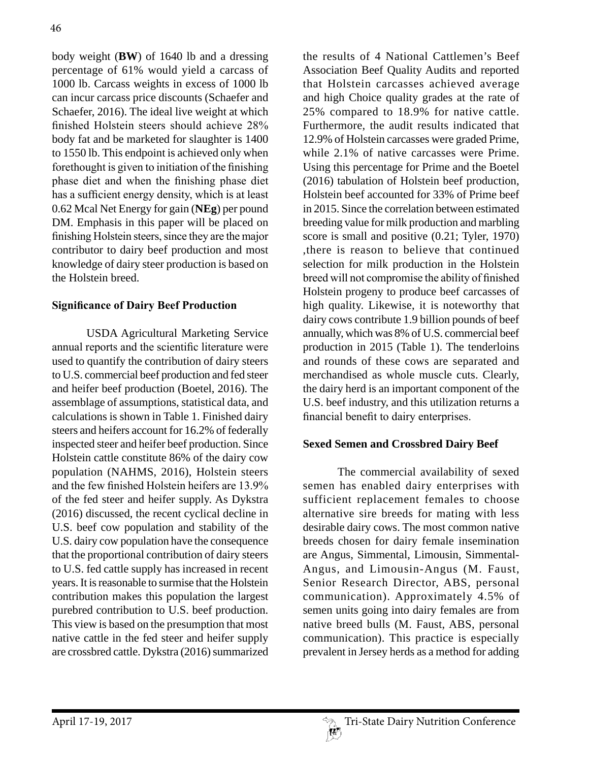body weight (**BW**) of 1640 lb and a dressing percentage of 61% would yield a carcass of 1000 lb. Carcass weights in excess of 1000 lb can incur carcass price discounts (Schaefer and Schaefer, 2016). The ideal live weight at which finished Holstein steers should achieve 28% body fat and be marketed for slaughter is 1400 to 1550 lb. This endpoint is achieved only when forethought is given to initiation of the finishing phase diet and when the finishing phase diet has a sufficient energy density, which is at least 0.62 Mcal Net Energy for gain (**NEg**) per pound DM. Emphasis in this paper will be placed on finishing Holstein steers, since they are the major contributor to dairy beef production and most knowledge of dairy steer production is based on the Holstein breed.

# **Significance of Dairy Beef Production**

USDA Agricultural Marketing Service annual reports and the scientific literature were used to quantify the contribution of dairy steers to U.S. commercial beef production and fed steer and heifer beef production (Boetel, 2016). The assemblage of assumptions, statistical data, and calculations is shown in Table 1. Finished dairy steers and heifers account for 16.2% of federally inspected steer and heifer beef production. Since Holstein cattle constitute 86% of the dairy cow population (NAHMS, 2016), Holstein steers and the few finished Holstein heifers are 13.9% of the fed steer and heifer supply. As Dykstra (2016) discussed, the recent cyclical decline in U.S. beef cow population and stability of the U.S. dairy cow population have the consequence that the proportional contribution of dairy steers to U.S. fed cattle supply has increased in recent years. It is reasonable to surmise that the Holstein contribution makes this population the largest purebred contribution to U.S. beef production. This view is based on the presumption that most native cattle in the fed steer and heifer supply are crossbred cattle. Dykstra (2016) summarized the results of 4 National Cattlemen's Beef Association Beef Quality Audits and reported that Holstein carcasses achieved average and high Choice quality grades at the rate of 25% compared to 18.9% for native cattle. Furthermore, the audit results indicated that 12.9% of Holstein carcasses were graded Prime, while 2.1% of native carcasses were Prime. Using this percentage for Prime and the Boetel (2016) tabulation of Holstein beef production, Holstein beef accounted for 33% of Prime beef in 2015. Since the correlation between estimated breeding value for milk production and marbling score is small and positive (0.21; Tyler, 1970) ,there is reason to believe that continued selection for milk production in the Holstein breed will not compromise the ability of finished Holstein progeny to produce beef carcasses of high quality. Likewise, it is noteworthy that dairy cows contribute 1.9 billion pounds of beef annually, which was 8% of U.S. commercial beef production in 2015 (Table 1). The tenderloins and rounds of these cows are separated and merchandised as whole muscle cuts. Clearly, the dairy herd is an important component of the U.S. beef industry, and this utilization returns a financial benefit to dairy enterprises.

### **Sexed Semen and Crossbred Dairy Beef**

The commercial availability of sexed semen has enabled dairy enterprises with sufficient replacement females to choose alternative sire breeds for mating with less desirable dairy cows. The most common native breeds chosen for dairy female insemination are Angus, Simmental, Limousin, Simmental-Angus, and Limousin-Angus (M. Faust, Senior Research Director, ABS, personal communication). Approximately 4.5% of semen units going into dairy females are from native breed bulls (M. Faust, ABS, personal communication). This practice is especially prevalent in Jersey herds as a method for adding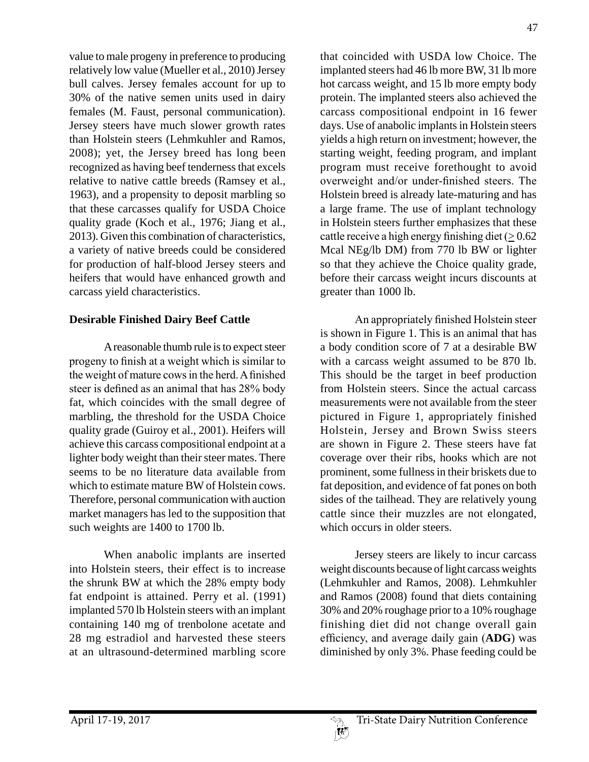value to male progeny in preference to producing relatively low value (Mueller et al., 2010) Jersey bull calves. Jersey females account for up to 30% of the native semen units used in dairy females (M. Faust, personal communication). Jersey steers have much slower growth rates than Holstein steers (Lehmkuhler and Ramos, 2008); yet, the Jersey breed has long been recognized as having beef tenderness that excels relative to native cattle breeds (Ramsey et al., 1963), and a propensity to deposit marbling so that these carcasses qualify for USDA Choice quality grade (Koch et al., 1976; Jiang et al., 2013). Given this combination of characteristics, a variety of native breeds could be considered for production of half-blood Jersey steers and heifers that would have enhanced growth and carcass yield characteristics.

### **Desirable Finished Dairy Beef Cattle**

A reasonable thumb rule is to expect steer progeny to finish at a weight which is similar to the weight of mature cows in the herd. A finished steer is defined as an animal that has 28% body fat, which coincides with the small degree of marbling, the threshold for the USDA Choice quality grade (Guiroy et al., 2001). Heifers will achieve this carcass compositional endpoint at a lighter body weight than their steer mates. There seems to be no literature data available from which to estimate mature BW of Holstein cows. Therefore, personal communication with auction market managers has led to the supposition that such weights are 1400 to 1700 lb.

When anabolic implants are inserted into Holstein steers, their effect is to increase the shrunk BW at which the 28% empty body fat endpoint is attained. Perry et al. (1991) implanted 570 lb Holstein steers with an implant containing 140 mg of trenbolone acetate and 28 mg estradiol and harvested these steers at an ultrasound-determined marbling score that coincided with USDA low Choice. The implanted steers had 46 lb more BW, 31 lb more hot carcass weight, and 15 lb more empty body protein. The implanted steers also achieved the carcass compositional endpoint in 16 fewer days. Use of anabolic implants in Holstein steers yields a high return on investment; however, the starting weight, feeding program, and implant program must receive forethought to avoid overweight and/or under-finished steers. The Holstein breed is already late-maturing and has a large frame. The use of implant technology in Holstein steers further emphasizes that these cattle receive a high energy finishing diet  $(>0.62$ Mcal NEg/lb DM) from 770 lb BW or lighter so that they achieve the Choice quality grade, before their carcass weight incurs discounts at greater than 1000 lb.

An appropriately finished Holstein steer is shown in Figure 1. This is an animal that has a body condition score of 7 at a desirable BW with a carcass weight assumed to be 870 lb. This should be the target in beef production from Holstein steers. Since the actual carcass measurements were not available from the steer pictured in Figure 1, appropriately finished Holstein, Jersey and Brown Swiss steers are shown in Figure 2. These steers have fat coverage over their ribs, hooks which are not prominent, some fullness in their briskets due to fat deposition, and evidence of fat pones on both sides of the tailhead. They are relatively young cattle since their muzzles are not elongated, which occurs in older steers.

Jersey steers are likely to incur carcass weight discounts because of light carcass weights (Lehmkuhler and Ramos, 2008). Lehmkuhler and Ramos (2008) found that diets containing 30% and 20% roughage prior to a 10% roughage finishing diet did not change overall gain efficiency, and average daily gain (**ADG**) was diminished by only 3%. Phase feeding could be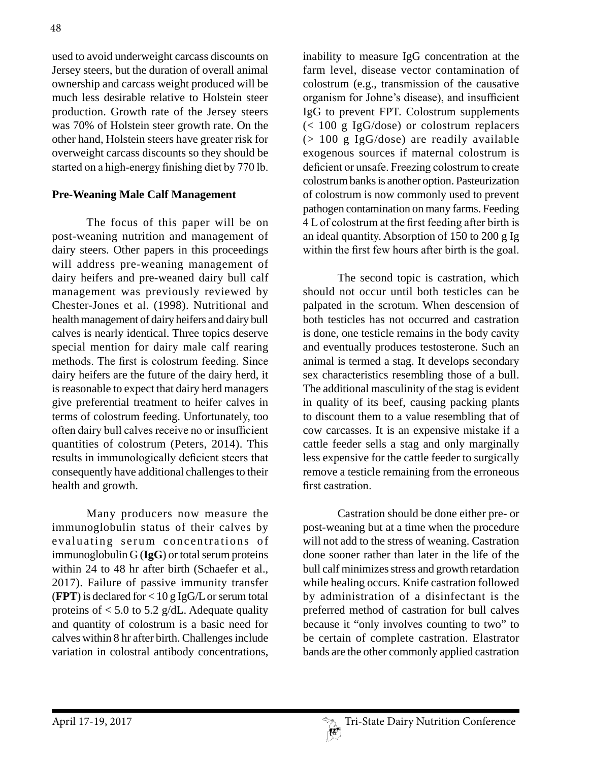used to avoid underweight carcass discounts on Jersey steers, but the duration of overall animal ownership and carcass weight produced will be much less desirable relative to Holstein steer production. Growth rate of the Jersey steers was 70% of Holstein steer growth rate. On the other hand, Holstein steers have greater risk for overweight carcass discounts so they should be started on a high-energy finishing diet by 770 lb.

### **Pre-Weaning Male Calf Management**

The focus of this paper will be on post-weaning nutrition and management of dairy steers. Other papers in this proceedings will address pre-weaning management of dairy heifers and pre-weaned dairy bull calf management was previously reviewed by Chester-Jones et al. (1998). Nutritional and health management of dairy heifers and dairy bull calves is nearly identical. Three topics deserve special mention for dairy male calf rearing methods. The first is colostrum feeding. Since dairy heifers are the future of the dairy herd, it is reasonable to expect that dairy herd managers give preferential treatment to heifer calves in terms of colostrum feeding. Unfortunately, too often dairy bull calves receive no or insufficient quantities of colostrum (Peters, 2014). This results in immunologically deficient steers that consequently have additional challenges to their health and growth.

Many producers now measure the immunoglobulin status of their calves by evaluating serum concentrations of immunoglobulin G (**IgG**) or total serum proteins within 24 to 48 hr after birth (Schaefer et al., 2017). Failure of passive immunity transfer (**FPT**) is declared for < 10 g IgG/L or serum total proteins of  $< 5.0$  to 5.2 g/dL. Adequate quality and quantity of colostrum is a basic need for calves within 8 hr after birth. Challenges include variation in colostral antibody concentrations,

inability to measure IgG concentration at the farm level, disease vector contamination of colostrum (e.g., transmission of the causative organism for Johne's disease), and insufficient IgG to prevent FPT. Colostrum supplements (< 100 g IgG/dose) or colostrum replacers  $(> 100 \text{ g } \text{IgG/dose})$  are readily available exogenous sources if maternal colostrum is deficient or unsafe. Freezing colostrum to create colostrum banks is another option. Pasteurization of colostrum is now commonly used to prevent pathogen contamination on many farms. Feeding 4 L of colostrum at the first feeding after birth is an ideal quantity. Absorption of 150 to 200 g Ig within the first few hours after birth is the goal.

The second topic is castration, which should not occur until both testicles can be palpated in the scrotum. When descension of both testicles has not occurred and castration is done, one testicle remains in the body cavity and eventually produces testosterone. Such an animal is termed a stag. It develops secondary sex characteristics resembling those of a bull. The additional masculinity of the stag is evident in quality of its beef, causing packing plants to discount them to a value resembling that of cow carcasses. It is an expensive mistake if a cattle feeder sells a stag and only marginally less expensive for the cattle feeder to surgically remove a testicle remaining from the erroneous first castration.

Castration should be done either pre- or post-weaning but at a time when the procedure will not add to the stress of weaning. Castration done sooner rather than later in the life of the bull calf minimizes stress and growth retardation while healing occurs. Knife castration followed by administration of a disinfectant is the preferred method of castration for bull calves because it "only involves counting to two" to be certain of complete castration. Elastrator bands are the other commonly applied castration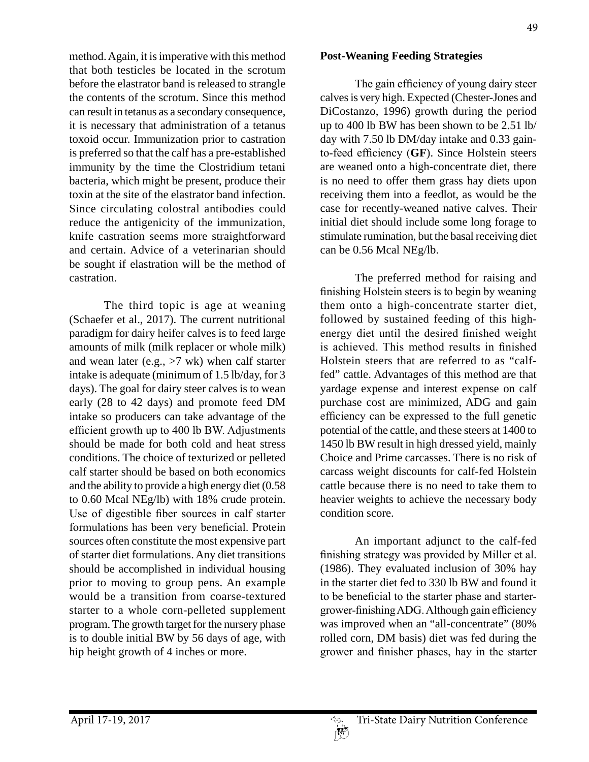method. Again, it is imperative with this method that both testicles be located in the scrotum before the elastrator band is released to strangle the contents of the scrotum. Since this method can result in tetanus as a secondary consequence, it is necessary that administration of a tetanus toxoid occur. Immunization prior to castration is preferred so that the calf has a pre-established immunity by the time the Clostridium tetani bacteria, which might be present, produce their toxin at the site of the elastrator band infection. Since circulating colostral antibodies could reduce the antigenicity of the immunization, knife castration seems more straightforward and certain. Advice of a veterinarian should be sought if elastration will be the method of castration.

The third topic is age at weaning (Schaefer et al., 2017). The current nutritional paradigm for dairy heifer calves is to feed large amounts of milk (milk replacer or whole milk) and wean later (e.g., >7 wk) when calf starter intake is adequate (minimum of 1.5 lb/day, for 3 days). The goal for dairy steer calves is to wean early (28 to 42 days) and promote feed DM intake so producers can take advantage of the efficient growth up to 400 lb BW. Adjustments should be made for both cold and heat stress conditions. The choice of texturized or pelleted calf starter should be based on both economics and the ability to provide a high energy diet (0.58 to 0.60 Mcal NEg/lb) with 18% crude protein. Use of digestible fiber sources in calf starter formulations has been very beneficial. Protein sources often constitute the most expensive part of starter diet formulations. Any diet transitions should be accomplished in individual housing prior to moving to group pens. An example would be a transition from coarse-textured starter to a whole corn-pelleted supplement program. The growth target for the nursery phase is to double initial BW by 56 days of age, with hip height growth of 4 inches or more.

#### **Post-Weaning Feeding Strategies**

The gain efficiency of young dairy steer calves is very high. Expected (Chester-Jones and DiCostanzo, 1996) growth during the period up to 400 lb BW has been shown to be 2.51 lb/ day with 7.50 lb DM/day intake and 0.33 gainto-feed efficiency (**GF**). Since Holstein steers are weaned onto a high-concentrate diet, there is no need to offer them grass hay diets upon receiving them into a feedlot, as would be the case for recently-weaned native calves. Their initial diet should include some long forage to stimulate rumination, but the basal receiving diet can be 0.56 Mcal NEg/lb.

The preferred method for raising and finishing Holstein steers is to begin by weaning them onto a high-concentrate starter diet, followed by sustained feeding of this highenergy diet until the desired finished weight is achieved. This method results in finished Holstein steers that are referred to as "calffed" cattle. Advantages of this method are that yardage expense and interest expense on calf purchase cost are minimized, ADG and gain efficiency can be expressed to the full genetic potential of the cattle, and these steers at 1400 to 1450 lb BW result in high dressed yield, mainly Choice and Prime carcasses. There is no risk of carcass weight discounts for calf-fed Holstein cattle because there is no need to take them to heavier weights to achieve the necessary body condition score.

An important adjunct to the calf-fed finishing strategy was provided by Miller et al. (1986). They evaluated inclusion of 30% hay in the starter diet fed to 330 lb BW and found it to be beneficial to the starter phase and startergrower-finishing ADG. Although gain efficiency was improved when an "all-concentrate" (80%) rolled corn, DM basis) diet was fed during the grower and finisher phases, hay in the starter

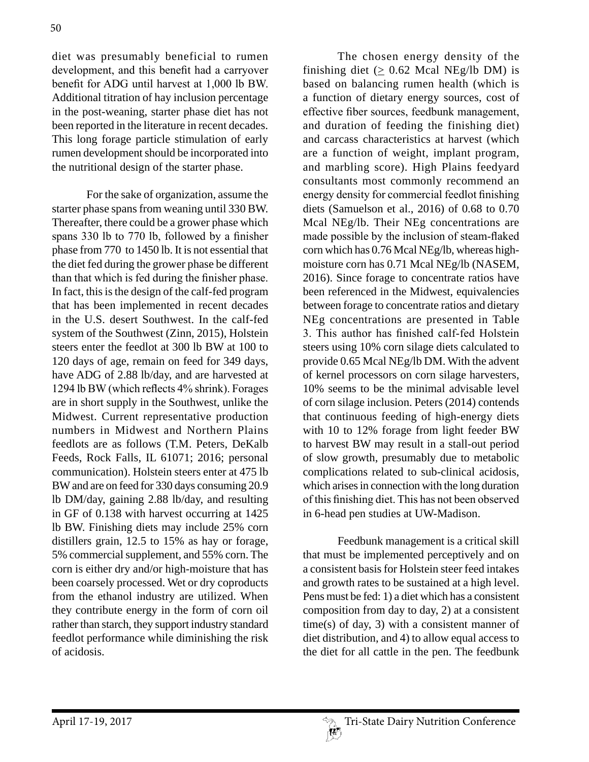diet was presumably beneficial to rumen development, and this benefit had a carryover benefit for ADG until harvest at 1,000 lb BW. Additional titration of hay inclusion percentage in the post-weaning, starter phase diet has not been reported in the literature in recent decades. This long forage particle stimulation of early rumen development should be incorporated into the nutritional design of the starter phase.

For the sake of organization, assume the starter phase spans from weaning until 330 BW. Thereafter, there could be a grower phase which spans 330 lb to 770 lb, followed by a finisher phase from 770 to 1450 lb. It is not essential that the diet fed during the grower phase be different than that which is fed during the finisher phase. In fact, this is the design of the calf-fed program that has been implemented in recent decades in the U.S. desert Southwest. In the calf-fed system of the Southwest (Zinn, 2015), Holstein steers enter the feedlot at 300 lb BW at 100 to 120 days of age, remain on feed for 349 days, have ADG of 2.88 lb/day, and are harvested at 1294 lb BW (which reflects 4% shrink). Forages are in short supply in the Southwest, unlike the Midwest. Current representative production numbers in Midwest and Northern Plains feedlots are as follows (T.M. Peters, DeKalb Feeds, Rock Falls, IL 61071; 2016; personal communication). Holstein steers enter at 475 lb BW and are on feed for 330 days consuming 20.9 lb DM/day, gaining 2.88 lb/day, and resulting in GF of 0.138 with harvest occurring at 1425 lb BW. Finishing diets may include 25% corn distillers grain, 12.5 to 15% as hay or forage, 5% commercial supplement, and 55% corn. The corn is either dry and/or high-moisture that has been coarsely processed. Wet or dry coproducts from the ethanol industry are utilized. When they contribute energy in the form of corn oil rather than starch, they support industry standard feedlot performance while diminishing the risk of acidosis.

The chosen energy density of the finishing diet ( $\geq 0.62$  Mcal NEg/lb DM) is based on balancing rumen health (which is a function of dietary energy sources, cost of effective fiber sources, feedbunk management, and duration of feeding the finishing diet) and carcass characteristics at harvest (which are a function of weight, implant program, and marbling score). High Plains feedyard consultants most commonly recommend an energy density for commercial feedlot finishing diets (Samuelson et al., 2016) of 0.68 to 0.70 Mcal NEg/lb. Their NEg concentrations are made possible by the inclusion of steam-flaked corn which has 0.76 Mcal NEg/lb, whereas highmoisture corn has 0.71 Mcal NEg/lb (NASEM, 2016). Since forage to concentrate ratios have been referenced in the Midwest, equivalencies between forage to concentrate ratios and dietary NEg concentrations are presented in Table 3. This author has finished calf-fed Holstein steers using 10% corn silage diets calculated to provide 0.65 Mcal NEg/lb DM. With the advent of kernel processors on corn silage harvesters, 10% seems to be the minimal advisable level of corn silage inclusion. Peters (2014) contends that continuous feeding of high-energy diets with 10 to 12% forage from light feeder BW to harvest BW may result in a stall-out period of slow growth, presumably due to metabolic complications related to sub-clinical acidosis, which arises in connection with the long duration of this finishing diet. This has not been observed in 6-head pen studies at UW-Madison.

Feedbunk management is a critical skill that must be implemented perceptively and on a consistent basis for Holstein steer feed intakes and growth rates to be sustained at a high level. Pens must be fed: 1) a diet which has a consistent composition from day to day, 2) at a consistent  $time(s)$  of day, 3) with a consistent manner of diet distribution, and 4) to allow equal access to the diet for all cattle in the pen. The feedbunk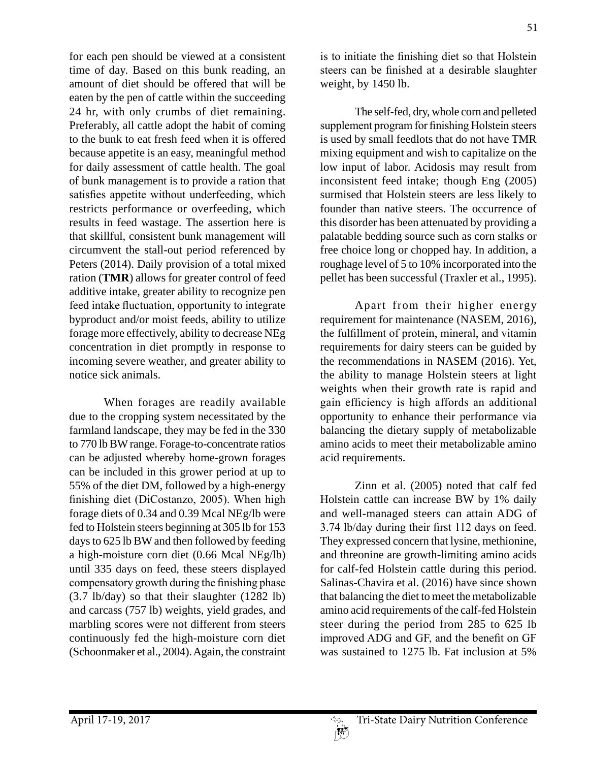for each pen should be viewed at a consistent time of day. Based on this bunk reading, an amount of diet should be offered that will be eaten by the pen of cattle within the succeeding 24 hr, with only crumbs of diet remaining. Preferably, all cattle adopt the habit of coming to the bunk to eat fresh feed when it is offered because appetite is an easy, meaningful method for daily assessment of cattle health. The goal of bunk management is to provide a ration that satisfies appetite without underfeeding, which restricts performance or overfeeding, which results in feed wastage. The assertion here is that skillful, consistent bunk management will circumvent the stall-out period referenced by Peters (2014). Daily provision of a total mixed ration (**TMR**) allows for greater control of feed additive intake, greater ability to recognize pen feed intake fluctuation, opportunity to integrate byproduct and/or moist feeds, ability to utilize forage more effectively, ability to decrease NEg concentration in diet promptly in response to incoming severe weather, and greater ability to notice sick animals.

When forages are readily available due to the cropping system necessitated by the farmland landscape, they may be fed in the 330 to 770 lb BW range. Forage-to-concentrate ratios can be adjusted whereby home-grown forages can be included in this grower period at up to 55% of the diet DM, followed by a high-energy finishing diet (DiCostanzo, 2005). When high forage diets of 0.34 and 0.39 Mcal NEg/lb were fed to Holstein steers beginning at 305 lb for 153 days to 625 lb BW and then followed by feeding a high-moisture corn diet (0.66 Mcal NEg/lb) until 335 days on feed, these steers displayed compensatory growth during the finishing phase (3.7 lb/day) so that their slaughter (1282 lb) and carcass (757 lb) weights, yield grades, and marbling scores were not different from steers continuously fed the high-moisture corn diet (Schoonmaker et al., 2004). Again, the constraint is to initiate the finishing diet so that Holstein steers can be finished at a desirable slaughter weight, by 1450 lb.

The self-fed, dry, whole corn and pelleted supplement program for finishing Holstein steers is used by small feedlots that do not have TMR mixing equipment and wish to capitalize on the low input of labor. Acidosis may result from inconsistent feed intake; though Eng (2005) surmised that Holstein steers are less likely to founder than native steers. The occurrence of this disorder has been attenuated by providing a palatable bedding source such as corn stalks or free choice long or chopped hay. In addition, a roughage level of 5 to 10% incorporated into the pellet has been successful (Traxler et al., 1995).

Apart from their higher energy requirement for maintenance (NASEM, 2016), the fulfillment of protein, mineral, and vitamin requirements for dairy steers can be guided by the recommendations in NASEM (2016). Yet, the ability to manage Holstein steers at light weights when their growth rate is rapid and gain efficiency is high affords an additional opportunity to enhance their performance via balancing the dietary supply of metabolizable amino acids to meet their metabolizable amino acid requirements.

Zinn et al. (2005) noted that calf fed Holstein cattle can increase BW by 1% daily and well-managed steers can attain ADG of 3.74 lb/day during their first 112 days on feed. They expressed concern that lysine, methionine, and threonine are growth-limiting amino acids for calf-fed Holstein cattle during this period. Salinas-Chavira et al. (2016) have since shown that balancing the diet to meet the metabolizable amino acid requirements of the calf-fed Holstein steer during the period from 285 to 625 lb improved ADG and GF, and the benefit on GF was sustained to 1275 lb. Fat inclusion at 5%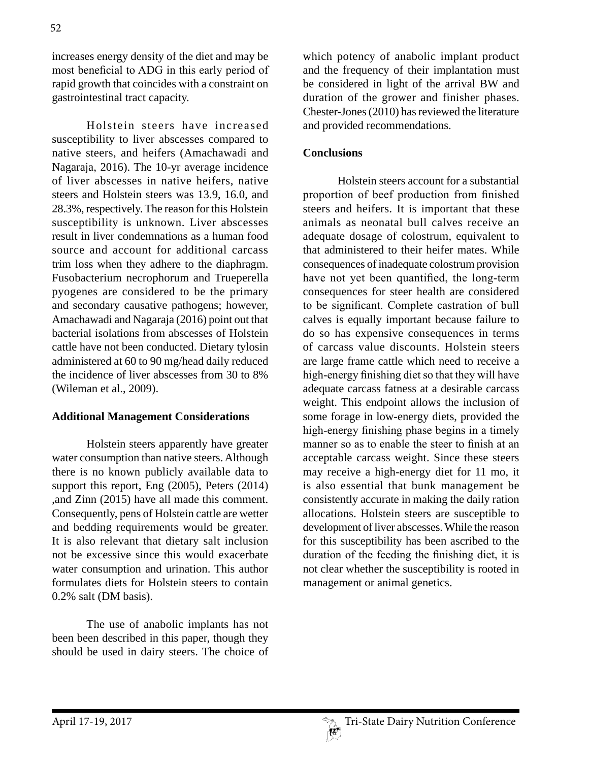increases energy density of the diet and may be most beneficial to ADG in this early period of rapid growth that coincides with a constraint on gastrointestinal tract capacity.

Holstein steers have increased susceptibility to liver abscesses compared to native steers, and heifers (Amachawadi and Nagaraja, 2016). The 10-yr average incidence of liver abscesses in native heifers, native steers and Holstein steers was 13.9, 16.0, and 28.3%, respectively. The reason for this Holstein susceptibility is unknown. Liver abscesses result in liver condemnations as a human food source and account for additional carcass trim loss when they adhere to the diaphragm. Fusobacterium necrophorum and Trueperella pyogenes are considered to be the primary and secondary causative pathogens; however, Amachawadi and Nagaraja (2016) point out that bacterial isolations from abscesses of Holstein cattle have not been conducted. Dietary tylosin administered at 60 to 90 mg/head daily reduced the incidence of liver abscesses from 30 to 8% (Wileman et al., 2009).

### **Additional Management Considerations**

Holstein steers apparently have greater water consumption than native steers. Although there is no known publicly available data to support this report, Eng (2005), Peters (2014) ,and Zinn (2015) have all made this comment. Consequently, pens of Holstein cattle are wetter and bedding requirements would be greater. It is also relevant that dietary salt inclusion not be excessive since this would exacerbate water consumption and urination. This author formulates diets for Holstein steers to contain 0.2% salt (DM basis).

The use of anabolic implants has not been been described in this paper, though they should be used in dairy steers. The choice of which potency of anabolic implant product and the frequency of their implantation must be considered in light of the arrival BW and duration of the grower and finisher phases. Chester-Jones (2010) has reviewed the literature and provided recommendations.

# **Conclusions**

Holstein steers account for a substantial proportion of beef production from finished steers and heifers. It is important that these animals as neonatal bull calves receive an adequate dosage of colostrum, equivalent to that administered to their heifer mates. While consequences of inadequate colostrum provision have not yet been quantified, the long-term consequences for steer health are considered to be significant. Complete castration of bull calves is equally important because failure to do so has expensive consequences in terms of carcass value discounts. Holstein steers are large frame cattle which need to receive a high-energy finishing diet so that they will have adequate carcass fatness at a desirable carcass weight. This endpoint allows the inclusion of some forage in low-energy diets, provided the high-energy finishing phase begins in a timely manner so as to enable the steer to finish at an acceptable carcass weight. Since these steers may receive a high-energy diet for 11 mo, it is also essential that bunk management be consistently accurate in making the daily ration allocations. Holstein steers are susceptible to development of liver abscesses. While the reason for this susceptibility has been ascribed to the duration of the feeding the finishing diet, it is not clear whether the susceptibility is rooted in management or animal genetics.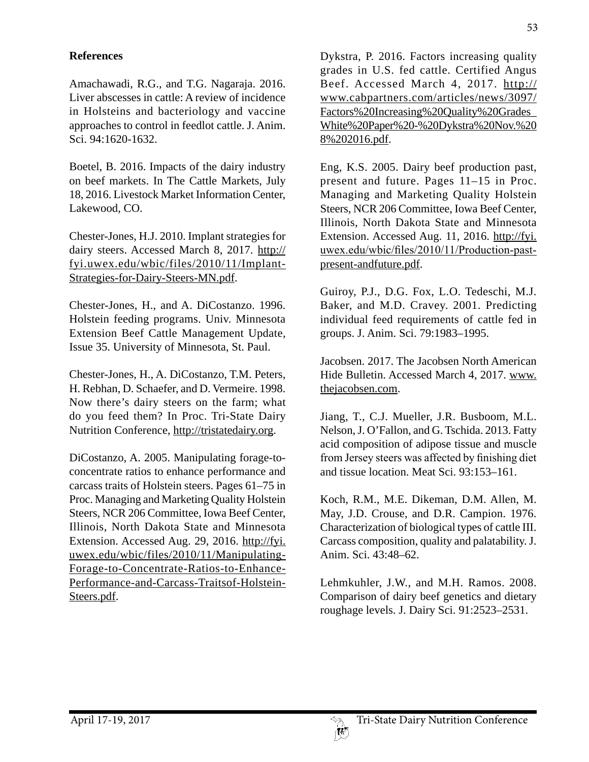# **References**

Amachawadi, R.G., and T.G. Nagaraja. 2016. Liver abscesses in cattle: A review of incidence in Holsteins and bacteriology and vaccine approaches to control in feedlot cattle. J. Anim. Sci. 94:1620-1632.

Boetel, B. 2016. Impacts of the dairy industry on beef markets. In The Cattle Markets, July 18, 2016. Livestock Market Information Center, Lakewood, CO.

Chester-Jones, H.J. 2010. Implant strategies for dairy steers. Accessed March 8, 2017. http:// fyi.uwex.edu/wbic/files/2010/11/Implant-Strategies-for-Dairy-Steers-MN.pdf.

Chester-Jones, H., and A. DiCostanzo. 1996. Holstein feeding programs. Univ. Minnesota Extension Beef Cattle Management Update, Issue 35. University of Minnesota, St. Paul.

Chester-Jones, H., A. DiCostanzo, T.M. Peters, H. Rebhan, D. Schaefer, and D. Vermeire. 1998. Now there's dairy steers on the farm; what do you feed them? In Proc. Tri-State Dairy Nutrition Conference, http://tristatedairy.org.

DiCostanzo, A. 2005. Manipulating forage-toconcentrate ratios to enhance performance and carcass traits of Holstein steers. Pages 61–75 in Proc. Managing and Marketing Quality Holstein Steers, NCR 206 Committee, Iowa Beef Center, Illinois, North Dakota State and Minnesota Extension. Accessed Aug. 29, 2016. http://fyi. uwex.edu/wbic/files/2010/11/Manipulating-Forage-to-Concentrate-Ratios-to-Enhance-Performance-and-Carcass-Traitsof-Holstein-Steers.pdf.

Dykstra, P. 2016. Factors increasing quality grades in U.S. fed cattle. Certified Angus Beef. Accessed March 4, 2017. http:// www.cabpartners.com/articles/news/3097/ Factors%20Increasing%20Quality%20Grades\_ White%20Paper%20-%20Dykstra%20Nov.%20 8%202016.pdf.

Eng, K.S. 2005. Dairy beef production past, present and future. Pages 11–15 in Proc. Managing and Marketing Quality Holstein Steers, NCR 206 Committee, Iowa Beef Center, Illinois, North Dakota State and Minnesota Extension. Accessed Aug. 11, 2016. http://fyi. uwex.edu/wbic/files/2010/11/Production-pastpresent-andfuture.pdf.

Guiroy, P.J., D.G. Fox, L.O. Tedeschi, M.J. Baker, and M.D. Cravey. 2001. Predicting individual feed requirements of cattle fed in groups. J. Anim. Sci. 79:1983–1995.

Jacobsen. 2017. The Jacobsen North American Hide Bulletin. Accessed March 4, 2017. www. thejacobsen.com.

Jiang, T., C.J. Mueller, J.R. Busboom, M.L. Nelson, J. O'Fallon, and G. Tschida. 2013. Fatty acid composition of adipose tissue and muscle from Jersey steers was affected by finishing diet and tissue location. Meat Sci. 93:153–161.

Koch, R.M., M.E. Dikeman, D.M. Allen, M. May, J.D. Crouse, and D.R. Campion. 1976. Characterization of biological types of cattle III. Carcass composition, quality and palatability. J. Anim. Sci. 43:48–62.

Lehmkuhler, J.W., and M.H. Ramos. 2008. Comparison of dairy beef genetics and dietary roughage levels. J. Dairy Sci. 91:2523–2531.

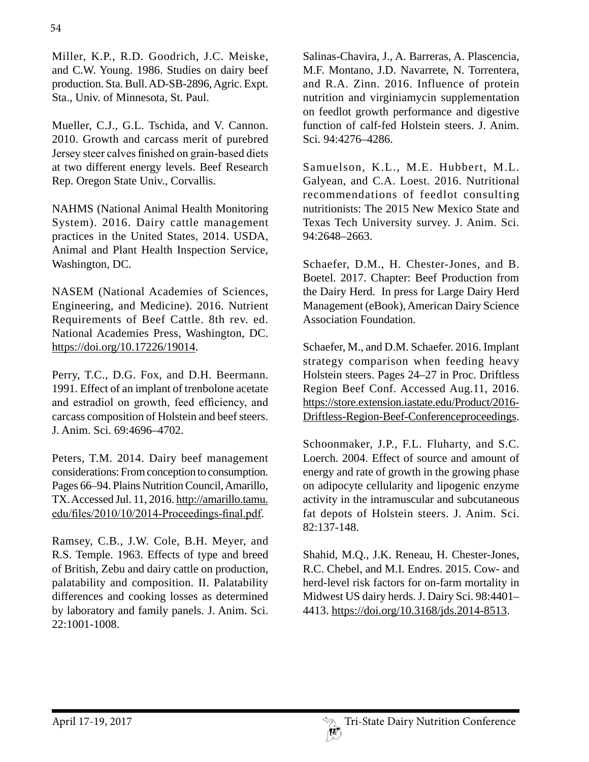Miller, K.P., R.D. Goodrich, J.C. Meiske, and C.W. Young. 1986. Studies on dairy beef production. Sta. Bull. AD-SB-2896, Agric. Expt. Sta., Univ. of Minnesota, St. Paul.

Mueller, C.J., G.L. Tschida, and V. Cannon. 2010. Growth and carcass merit of purebred Jersey steer calves finished on grain-based diets at two different energy levels. Beef Research Rep. Oregon State Univ., Corvallis.

NAHMS (National Animal Health Monitoring System). 2016. Dairy cattle management practices in the United States, 2014. USDA, Animal and Plant Health Inspection Service, Washington, DC.

NASEM (National Academies of Sciences, Engineering, and Medicine). 2016. Nutrient Requirements of Beef Cattle. 8th rev. ed. National Academies Press, Washington, DC. https://doi.org/10.17226/19014.

Perry, T.C., D.G. Fox, and D.H. Beermann. 1991. Effect of an implant of trenbolone acetate and estradiol on growth, feed efficiency, and carcass composition of Holstein and beef steers. J. Anim. Sci. 69:4696–4702.

Peters, T.M. 2014. Dairy beef management considerations: From conception to consumption. Pages 66–94. Plains Nutrition Council, Amarillo, TX. Accessed Jul. 11, 2016. http://amarillo.tamu. edu/files/2010/10/2014-Proceedings-final.pdf.

Ramsey, C.B., J.W. Cole, B.H. Meyer, and R.S. Temple. 1963. Effects of type and breed of British, Zebu and dairy cattle on production, palatability and composition. II. Palatability differences and cooking losses as determined by laboratory and family panels. J. Anim. Sci. 22:1001-1008.

Salinas-Chavira, J., A. Barreras, A. Plascencia, M.F. Montano, J.D. Navarrete, N. Torrentera, and R.A. Zinn. 2016. Influence of protein nutrition and virginiamycin supplementation on feedlot growth performance and digestive function of calf-fed Holstein steers. J. Anim. Sci. 94:4276–4286.

Samuelson, K.L., M.E. Hubbert, M.L. Galyean, and C.A. Loest. 2016. Nutritional recommendations of feedlot consulting nutritionists: The 2015 New Mexico State and Texas Tech University survey. J. Anim. Sci. 94:2648–2663.

Schaefer, D.M., H. Chester-Jones, and B. Boetel. 2017. Chapter: Beef Production from the Dairy Herd. In press for Large Dairy Herd Management (eBook), American Dairy Science Association Foundation.

Schaefer, M., and D.M. Schaefer. 2016. Implant strategy comparison when feeding heavy Holstein steers. Pages 24–27 in Proc. Driftless Region Beef Conf. Accessed Aug.11, 2016. https://store.extension.iastate.edu/Product/2016- Driftless-Region-Beef-Conferenceproceedings.

Schoonmaker, J.P., F.L. Fluharty, and S.C. Loerch. 2004. Effect of source and amount of energy and rate of growth in the growing phase on adipocyte cellularity and lipogenic enzyme activity in the intramuscular and subcutaneous fat depots of Holstein steers. J. Anim. Sci. 82:137-148.

Shahid, M.Q., J.K. Reneau, H. Chester-Jones, R.C. Chebel, and M.I. Endres. 2015. Cow- and herd-level risk factors for on-farm mortality in Midwest US dairy herds. J. Dairy Sci. 98:4401– 4413. https://doi.org/10.3168/jds.2014-8513.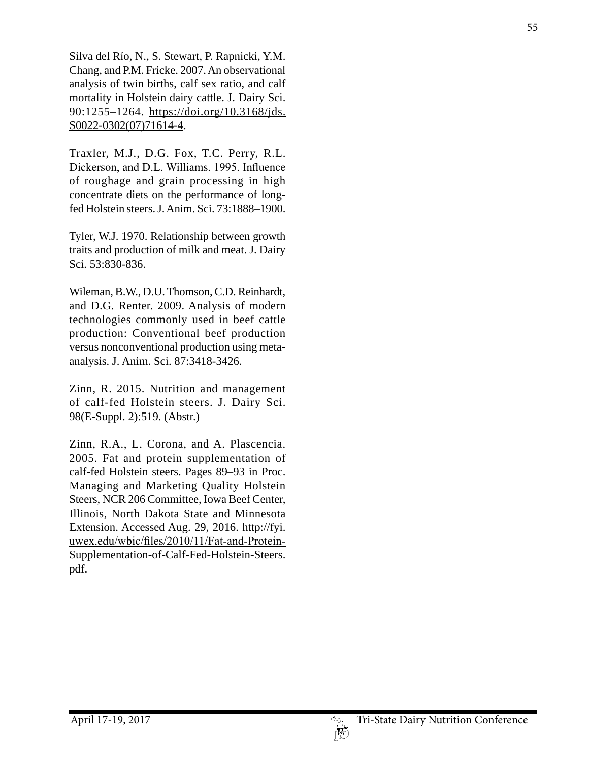Silva del Río, N., S. Stewart, P. Rapnicki, Y.M. Chang, and P.M. Fricke. 2007. An observational analysis of twin births, calf sex ratio, and calf mortality in Holstein dairy cattle. J. Dairy Sci. 90:1255–1264. https://doi.org/10.3168/jds. S0022-0302(07)71614-4 .

Traxler, M.J., D.G. Fox, T.C. Perry, R.L. Dickerson, and D.L. Williams. 1995. Influence of roughage and grain processing in high concentrate diets on the performance of longfed Holstein steers. J. Anim. Sci. 73:1888–1900.

Tyler, W.J. 1970. Relationship between growth traits and production of milk and meat. J. Dairy Sci. 53:830-836.

Wileman, B.W., D.U. Thomson, C.D. Reinhardt, and D.G. Renter. 2009. Analysis of modern technologies commonly used in beef cattle production: Conventional beef production versus nonconventional production using metaanalysis. J. Anim. Sci. 87:3418-3426.

Zinn, R. 2015. Nutrition and management of calf-fed Holstein steers. J. Dairy Sci. 98(E-Suppl. 2):519. (Abstr.)

Zinn, R.A., L. Corona, and A. Plascencia. 2005. Fat and protein supplementation of calf-fed Holstein steers. Pages 89–93 in Proc. Managing and Marketing Quality Holstein Steers, NCR 206 Committee, Iowa Beef Center, Illinois, North Dakota State and Minnesota Extension. Accessed Aug. 29, 2016. http://fyi. uwex.edu/wbic/files/2010/11/Fat-and-Protein-Supplementation-of-Calf-Fed-Holstein-Steers. pdf.

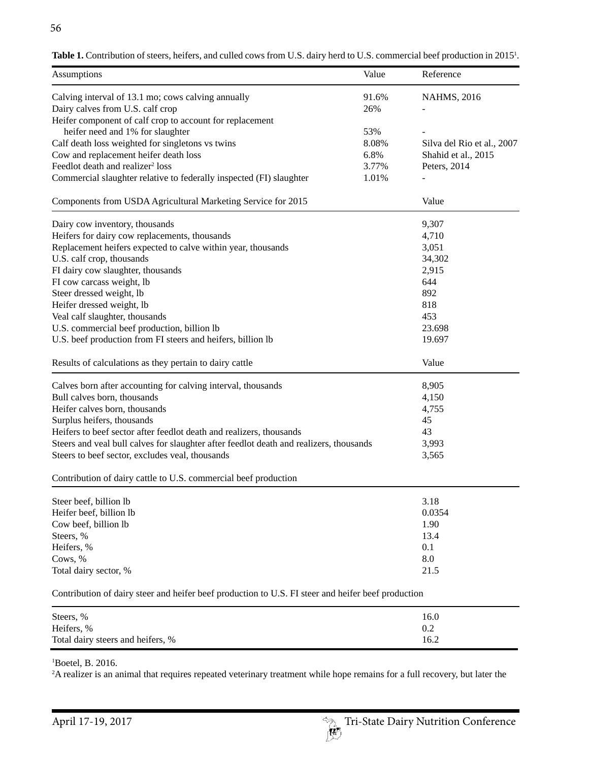| Calving interval of 13.1 mo; cows calving annually<br>91.6%<br><b>NAHMS, 2016</b><br>Dairy calves from U.S. calf crop<br>26%<br>Heifer component of calf crop to account for replacement<br>heifer need and 1% for slaughter<br>53%<br>Calf death loss weighted for singletons vs twins<br>8.08%<br>Cow and replacement heifer death loss<br>6.8%<br>Shahid et al., 2015<br>Feedlot death and realizer <sup>2</sup> loss<br>3.77%<br>Peters, 2014<br>Commercial slaughter relative to federally inspected (FI) slaughter<br>1.01%<br>Components from USDA Agricultural Marketing Service for 2015<br>Value<br>9,307<br>Dairy cow inventory, thousands<br>Heifers for dairy cow replacements, thousands<br>4,710<br>Replacement heifers expected to calve within year, thousands<br>3,051<br>34,302<br>U.S. calf crop, thousands<br>FI dairy cow slaughter, thousands<br>2,915<br>FI cow carcass weight, lb<br>644<br>Steer dressed weight, lb<br>892<br>818<br>Heifer dressed weight, lb<br>453<br>Veal calf slaughter, thousands<br>U.S. commercial beef production, billion lb<br>23.698<br>U.S. beef production from FI steers and heifers, billion lb<br>19.697<br>Value<br>Results of calculations as they pertain to dairy cattle | Assumptions | Value | Reference                  |
|-----------------------------------------------------------------------------------------------------------------------------------------------------------------------------------------------------------------------------------------------------------------------------------------------------------------------------------------------------------------------------------------------------------------------------------------------------------------------------------------------------------------------------------------------------------------------------------------------------------------------------------------------------------------------------------------------------------------------------------------------------------------------------------------------------------------------------------------------------------------------------------------------------------------------------------------------------------------------------------------------------------------------------------------------------------------------------------------------------------------------------------------------------------------------------------------------------------------------------------------|-------------|-------|----------------------------|
|                                                                                                                                                                                                                                                                                                                                                                                                                                                                                                                                                                                                                                                                                                                                                                                                                                                                                                                                                                                                                                                                                                                                                                                                                                         |             |       |                            |
|                                                                                                                                                                                                                                                                                                                                                                                                                                                                                                                                                                                                                                                                                                                                                                                                                                                                                                                                                                                                                                                                                                                                                                                                                                         |             |       |                            |
|                                                                                                                                                                                                                                                                                                                                                                                                                                                                                                                                                                                                                                                                                                                                                                                                                                                                                                                                                                                                                                                                                                                                                                                                                                         |             |       |                            |
|                                                                                                                                                                                                                                                                                                                                                                                                                                                                                                                                                                                                                                                                                                                                                                                                                                                                                                                                                                                                                                                                                                                                                                                                                                         |             |       |                            |
|                                                                                                                                                                                                                                                                                                                                                                                                                                                                                                                                                                                                                                                                                                                                                                                                                                                                                                                                                                                                                                                                                                                                                                                                                                         |             |       | Silva del Rio et al., 2007 |
|                                                                                                                                                                                                                                                                                                                                                                                                                                                                                                                                                                                                                                                                                                                                                                                                                                                                                                                                                                                                                                                                                                                                                                                                                                         |             |       |                            |
|                                                                                                                                                                                                                                                                                                                                                                                                                                                                                                                                                                                                                                                                                                                                                                                                                                                                                                                                                                                                                                                                                                                                                                                                                                         |             |       |                            |
|                                                                                                                                                                                                                                                                                                                                                                                                                                                                                                                                                                                                                                                                                                                                                                                                                                                                                                                                                                                                                                                                                                                                                                                                                                         |             |       |                            |
|                                                                                                                                                                                                                                                                                                                                                                                                                                                                                                                                                                                                                                                                                                                                                                                                                                                                                                                                                                                                                                                                                                                                                                                                                                         |             |       |                            |
|                                                                                                                                                                                                                                                                                                                                                                                                                                                                                                                                                                                                                                                                                                                                                                                                                                                                                                                                                                                                                                                                                                                                                                                                                                         |             |       |                            |
|                                                                                                                                                                                                                                                                                                                                                                                                                                                                                                                                                                                                                                                                                                                                                                                                                                                                                                                                                                                                                                                                                                                                                                                                                                         |             |       |                            |
|                                                                                                                                                                                                                                                                                                                                                                                                                                                                                                                                                                                                                                                                                                                                                                                                                                                                                                                                                                                                                                                                                                                                                                                                                                         |             |       |                            |
|                                                                                                                                                                                                                                                                                                                                                                                                                                                                                                                                                                                                                                                                                                                                                                                                                                                                                                                                                                                                                                                                                                                                                                                                                                         |             |       |                            |
|                                                                                                                                                                                                                                                                                                                                                                                                                                                                                                                                                                                                                                                                                                                                                                                                                                                                                                                                                                                                                                                                                                                                                                                                                                         |             |       |                            |
|                                                                                                                                                                                                                                                                                                                                                                                                                                                                                                                                                                                                                                                                                                                                                                                                                                                                                                                                                                                                                                                                                                                                                                                                                                         |             |       |                            |
|                                                                                                                                                                                                                                                                                                                                                                                                                                                                                                                                                                                                                                                                                                                                                                                                                                                                                                                                                                                                                                                                                                                                                                                                                                         |             |       |                            |
|                                                                                                                                                                                                                                                                                                                                                                                                                                                                                                                                                                                                                                                                                                                                                                                                                                                                                                                                                                                                                                                                                                                                                                                                                                         |             |       |                            |
|                                                                                                                                                                                                                                                                                                                                                                                                                                                                                                                                                                                                                                                                                                                                                                                                                                                                                                                                                                                                                                                                                                                                                                                                                                         |             |       |                            |
|                                                                                                                                                                                                                                                                                                                                                                                                                                                                                                                                                                                                                                                                                                                                                                                                                                                                                                                                                                                                                                                                                                                                                                                                                                         |             |       |                            |
|                                                                                                                                                                                                                                                                                                                                                                                                                                                                                                                                                                                                                                                                                                                                                                                                                                                                                                                                                                                                                                                                                                                                                                                                                                         |             |       |                            |
|                                                                                                                                                                                                                                                                                                                                                                                                                                                                                                                                                                                                                                                                                                                                                                                                                                                                                                                                                                                                                                                                                                                                                                                                                                         |             |       |                            |
| 8,905<br>Calves born after accounting for calving interval, thousands                                                                                                                                                                                                                                                                                                                                                                                                                                                                                                                                                                                                                                                                                                                                                                                                                                                                                                                                                                                                                                                                                                                                                                   |             |       |                            |
| Bull calves born, thousands<br>4,150                                                                                                                                                                                                                                                                                                                                                                                                                                                                                                                                                                                                                                                                                                                                                                                                                                                                                                                                                                                                                                                                                                                                                                                                    |             |       |                            |
| Heifer calves born, thousands<br>4,755                                                                                                                                                                                                                                                                                                                                                                                                                                                                                                                                                                                                                                                                                                                                                                                                                                                                                                                                                                                                                                                                                                                                                                                                  |             |       |                            |
| Surplus heifers, thousands<br>45                                                                                                                                                                                                                                                                                                                                                                                                                                                                                                                                                                                                                                                                                                                                                                                                                                                                                                                                                                                                                                                                                                                                                                                                        |             |       |                            |
| Heifers to beef sector after feedlot death and realizers, thousands<br>43                                                                                                                                                                                                                                                                                                                                                                                                                                                                                                                                                                                                                                                                                                                                                                                                                                                                                                                                                                                                                                                                                                                                                               |             |       |                            |
| Steers and veal bull calves for slaughter after feedlot death and realizers, thousands<br>3,993                                                                                                                                                                                                                                                                                                                                                                                                                                                                                                                                                                                                                                                                                                                                                                                                                                                                                                                                                                                                                                                                                                                                         |             |       |                            |
| 3,565<br>Steers to beef sector, excludes veal, thousands                                                                                                                                                                                                                                                                                                                                                                                                                                                                                                                                                                                                                                                                                                                                                                                                                                                                                                                                                                                                                                                                                                                                                                                |             |       |                            |
| Contribution of dairy cattle to U.S. commercial beef production                                                                                                                                                                                                                                                                                                                                                                                                                                                                                                                                                                                                                                                                                                                                                                                                                                                                                                                                                                                                                                                                                                                                                                         |             |       |                            |
| 3.18<br>Steer beef, billion lb                                                                                                                                                                                                                                                                                                                                                                                                                                                                                                                                                                                                                                                                                                                                                                                                                                                                                                                                                                                                                                                                                                                                                                                                          |             |       |                            |
| Heifer beef, billion lb<br>0.0354                                                                                                                                                                                                                                                                                                                                                                                                                                                                                                                                                                                                                                                                                                                                                                                                                                                                                                                                                                                                                                                                                                                                                                                                       |             |       |                            |
| 1.90<br>Cow beef, billion lb                                                                                                                                                                                                                                                                                                                                                                                                                                                                                                                                                                                                                                                                                                                                                                                                                                                                                                                                                                                                                                                                                                                                                                                                            |             |       |                            |
| 13.4<br>Steers, %                                                                                                                                                                                                                                                                                                                                                                                                                                                                                                                                                                                                                                                                                                                                                                                                                                                                                                                                                                                                                                                                                                                                                                                                                       |             |       |                            |
| Heifers, %<br>0.1                                                                                                                                                                                                                                                                                                                                                                                                                                                                                                                                                                                                                                                                                                                                                                                                                                                                                                                                                                                                                                                                                                                                                                                                                       |             |       |                            |
| $8.0\,$<br>Cows, %                                                                                                                                                                                                                                                                                                                                                                                                                                                                                                                                                                                                                                                                                                                                                                                                                                                                                                                                                                                                                                                                                                                                                                                                                      |             |       |                            |
| 21.5<br>Total dairy sector, %                                                                                                                                                                                                                                                                                                                                                                                                                                                                                                                                                                                                                                                                                                                                                                                                                                                                                                                                                                                                                                                                                                                                                                                                           |             |       |                            |

Table 1. Contribution of steers, heifers, and culled cows from U.S. dairy herd to U.S. commercial beef production in 2015<sup>1</sup>.

Contribution of dairy steer and heifer beef production to U.S. FI steer and heifer beef production

| Steers, %                         | 16.0 |
|-----------------------------------|------|
| Heifers, %                        | 0.2  |
| Total dairy steers and heifers, % | 16.2 |

1 Boetel, B. 2016.

2 A realizer is an animal that requires repeated veterinary treatment while hope remains for a full recovery, but later the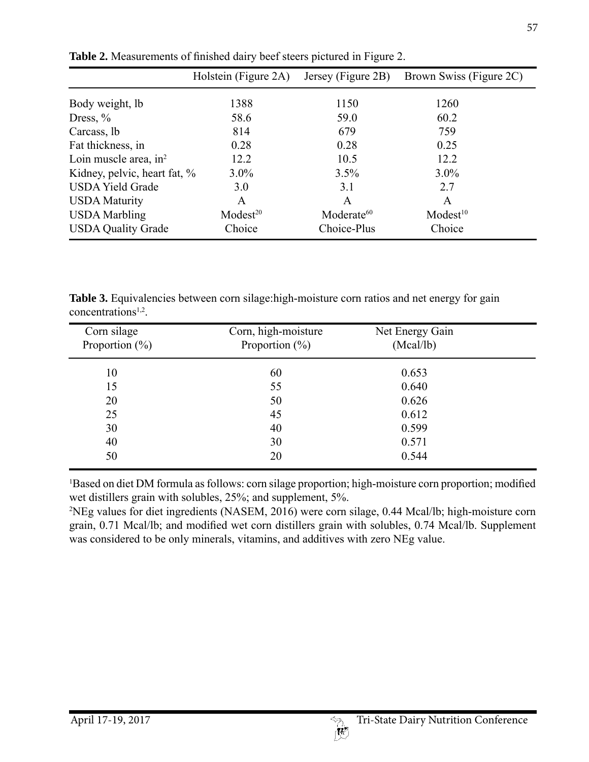|                              | Holstein (Figure 2A) | Jersey (Figure 2B)     | Brown Swiss (Figure 2C) |
|------------------------------|----------------------|------------------------|-------------------------|
| Body weight, lb              | 1388                 | 1150                   | 1260                    |
| Dress, $%$                   | 58.6                 | 59.0                   | 60.2                    |
| Carcass, lb                  | 814                  | 679                    | 759                     |
| Fat thickness, in            | 0.28                 | 0.28                   | 0.25                    |
| Loin muscle area, $in2$      | 12.2                 | 10.5                   | 12.2                    |
| Kidney, pelvic, heart fat, % | $3.0\%$              | 3.5%                   | $3.0\%$                 |
| <b>USDA Yield Grade</b>      | 3.0                  | 3.1                    | 2.7                     |
| <b>USDA Maturity</b>         | A                    | A                      | A                       |
| <b>USDA</b> Marbling         | Model <sup>20</sup>  | Moderate <sup>60</sup> | Model <sup>10</sup>     |
| <b>USDA Quality Grade</b>    | Choice               | Choice-Plus            | Choice                  |

**Table 2.** Measurements of finished dairy beef steers pictured in Figure 2.

Table 3. Equivalencies between corn silage:high-moisture corn ratios and net energy for gain concentrations<sup>1,2</sup>.

| Corn silage<br>Proportion $(\% )$ | Corn, high-moisture<br>Proportion $(\% )$ | Net Energy Gain<br>(Mcal/lb) |  |
|-----------------------------------|-------------------------------------------|------------------------------|--|
| 10                                | 60                                        | 0.653                        |  |
| 15                                | 55                                        | 0.640                        |  |
| 20                                | 50                                        | 0.626                        |  |
| 25                                | 45                                        | 0.612                        |  |
| 30                                | 40                                        | 0.599                        |  |
| 40                                | 30                                        | 0.571                        |  |
| 50                                | 20                                        | 0.544                        |  |

1 Based on diet DM formula as follows: corn silage proportion; high-moisture corn proportion; modified wet distillers grain with solubles, 25%; and supplement, 5%.

2 NEg values for diet ingredients (NASEM, 2016) were corn silage, 0.44 Mcal/lb; high-moisture corn grain, 0.71 Mcal/lb; and modified wet corn distillers grain with solubles, 0.74 Mcal/lb. Supplement was considered to be only minerals, vitamins, and additives with zero NEg value.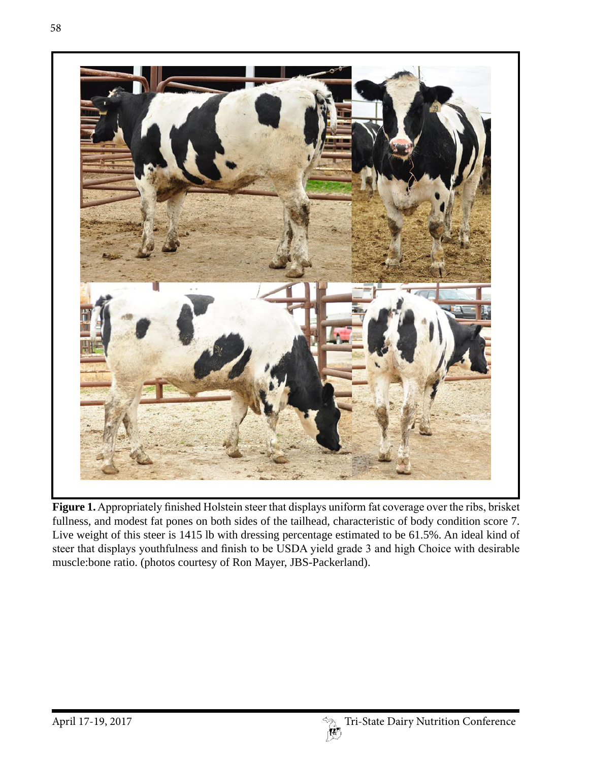

**Figure 1.** Appropriately finished Holstein steer that displays uniform fat coverage over the ribs, brisket fullness, and modest fat pones on both sides of the tailhead, characteristic of body condition score 7. Live weight of this steer is 1415 lb with dressing percentage estimated to be 61.5%. An ideal kind of steer that displays youthfulness and finish to be USDA yield grade 3 and high Choice with desirable muscle:bone ratio. (photos courtesy of Ron Mayer, JBS-Packerland).